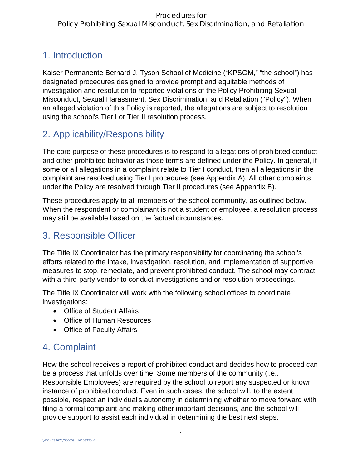# 1. Introduction

Kaiser Permanente Bernard J. Tyson School of Medicine ("KPSOM," "the school") has designated procedures designed to provide prompt and equitable methods of investigation and resolution to reported violations of the Policy Prohibiting Sexual Misconduct, Sexual Harassment, Sex Discrimination, and Retaliation ("Policy"). When an alleged violation of this Policy is reported, the allegations are subject to resolution using the school's Tier I or Tier II resolution process.

# 2. Applicability/Responsibility

The core purpose of these procedures is to respond to allegations of prohibited conduct and other prohibited behavior as those terms are defined under the Policy. In general, if some or all allegations in a complaint relate to Tier I conduct, then all allegations in the complaint are resolved using Tier I procedures (see Appendix A). All other complaints under the Policy are resolved through Tier II procedures (see Appendix B).

These procedures apply to all members of the school community, as outlined below. When the respondent or complainant is not a student or employee, a resolution process may still be available based on the factual circumstances.

# 3. Responsible Officer

The Title IX Coordinator has the primary responsibility for coordinating the school's efforts related to the intake, investigation, resolution, and implementation of supportive measures to stop, remediate, and prevent prohibited conduct. The school may contract with a third-party vendor to conduct investigations and or resolution proceedings.

The Title IX Coordinator will work with the following school offices to coordinate investigations:

- Office of Student Affairs
- Office of Human Resources
- Office of Faculty Affairs

# 4. Complaint

How the school receives a report of prohibited conduct and decides how to proceed can be a process that unfolds over time. Some members of the community (i.e., Responsible Employees) are required by the school to report any suspected or known instance of prohibited conduct. Even in such cases, the school will, to the extent possible, respect an individual's autonomy in determining whether to move forward with filing a formal complaint and making other important decisions, and the school will provide support to assist each individual in determining the best next steps.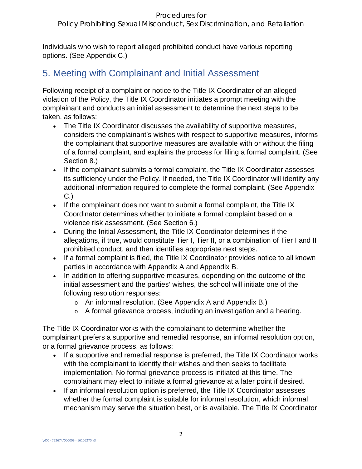Individuals who wish to report alleged prohibited conduct have various reporting options. (See Appendix C.)

# 5. Meeting with Complainant and Initial Assessment

Following receipt of a complaint or notice to the Title IX Coordinator of an alleged violation of the Policy, the Title IX Coordinator initiates a prompt meeting with the complainant and conducts an initial assessment to determine the next steps to be taken, as follows:

- The Title IX Coordinator discusses the availability of supportive measures, considers the complainant's wishes with respect to supportive measures, informs the complainant that supportive measures are available with or without the filing of a formal complaint, and explains the process for filing a formal complaint. (See Section 8.)
- If the complainant submits a formal complaint, the Title IX Coordinator assesses its sufficiency under the Policy. If needed, the Title IX Coordinator will identify any additional information required to complete the formal complaint. (See Appendix C.)
- If the complainant does not want to submit a formal complaint, the Title IX Coordinator determines whether to initiate a formal complaint based on a violence risk assessment. (See Section 6.)
- During the Initial Assessment, the Title IX Coordinator determines if the allegations, if true, would constitute Tier I, Tier II, or a combination of Tier I and II prohibited conduct, and then identifies appropriate next steps.
- If a formal complaint is filed, the Title IX Coordinator provides notice to all known parties in accordance with Appendix A and Appendix B.
- In addition to offering supportive measures, depending on the outcome of the initial assessment and the parties' wishes, the school will initiate one of the following resolution responses:
	- o An informal resolution. (See Appendix A and Appendix B.)
	- o A formal grievance process, including an investigation and a hearing.

The Title IX Coordinator works with the complainant to determine whether the complainant prefers a supportive and remedial response, an informal resolution option, or a formal grievance process, as follows:

- If a supportive and remedial response is preferred, the Title IX Coordinator works with the complainant to identify their wishes and then seeks to facilitate implementation. No formal grievance process is initiated at this time. The complainant may elect to initiate a formal grievance at a later point if desired.
- If an informal resolution option is preferred, the Title IX Coordinator assesses whether the formal complaint is suitable for informal resolution, which informal mechanism may serve the situation best, or is available. The Title IX Coordinator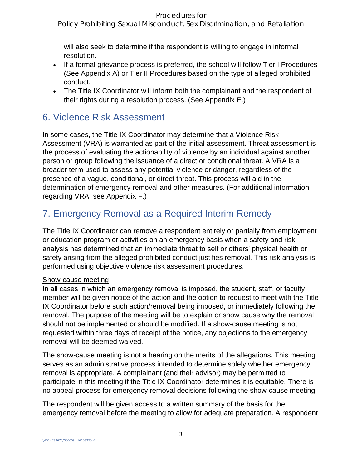Policy Prohibiting Sexual Misconduct, Sex Discrimination, and Retaliation

will also seek to determine if the respondent is willing to engage in informal resolution.

- If a formal grievance process is preferred, the school will follow Tier I Procedures (See Appendix A) or Tier II Procedures based on the type of alleged prohibited conduct.
- The Title IX Coordinator will inform both the complainant and the respondent of their rights during a resolution process. (See Appendix E.)

# 6. Violence Risk Assessment

In some cases, the Title IX Coordinator may determine that a Violence Risk Assessment (VRA) is warranted as part of the initial assessment. Threat assessment is the process of evaluating the actionability of violence by an individual against another person or group following the issuance of a direct or conditional threat. A VRA is a broader term used to assess any potential violence or danger, regardless of the presence of a vague, conditional, or direct threat. This process will aid in the determination of emergency removal and other measures. (For additional information regarding VRA, see Appendix F.)

# 7. Emergency Removal as a Required Interim Remedy

The Title IX Coordinator can remove a respondent entirely or partially from employment or education program or activities on an emergency basis when a safety and risk analysis has determined that an immediate threat to self or others' physical health or safety arising from the alleged prohibited conduct justifies removal. This risk analysis is performed using objective violence risk assessment procedures.

### Show-cause meeting

In all cases in which an emergency removal is imposed, the student, staff, or faculty member will be given notice of the action and the option to request to meet with the Title IX Coordinator before such action/removal being imposed, or immediately following the removal. The purpose of the meeting will be to explain or show cause why the removal should not be implemented or should be modified. If a show-cause meeting is not requested within three days of receipt of the notice, any objections to the emergency removal will be deemed waived.

The show-cause meeting is not a hearing on the merits of the allegations. This meeting serves as an administrative process intended to determine solely whether emergency removal is appropriate. A complainant (and their advisor) may be permitted to participate in this meeting if the Title IX Coordinator determines it is equitable. There is no appeal process for emergency removal decisions following the show-cause meeting.

The respondent will be given access to a written summary of the basis for the emergency removal before the meeting to allow for adequate preparation. A respondent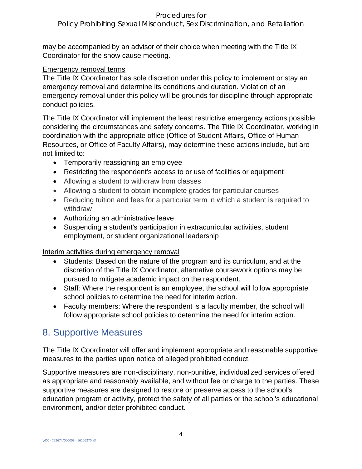Policy Prohibiting Sexual Misconduct, Sex Discrimination, and Retaliation

may be accompanied by an advisor of their choice when meeting with the Title IX Coordinator for the show cause meeting.

#### Emergency removal terms

The Title IX Coordinator has sole discretion under this policy to implement or stay an emergency removal and determine its conditions and duration. Violation of an emergency removal under this policy will be grounds for discipline through appropriate conduct policies.

The Title IX Coordinator will implement the least restrictive emergency actions possible considering the circumstances and safety concerns. The Title IX Coordinator, working in coordination with the appropriate office (Office of Student Affairs, Office of Human Resources, or Office of Faculty Affairs), may determine these actions include, but are not limited to:

- Temporarily reassigning an employee
- Restricting the respondent's access to or use of facilities or equipment
- Allowing a student to withdraw from classes
- Allowing a student to obtain incomplete grades for particular courses
- Reducing tuition and fees for a particular term in which a student is required to withdraw
- Authorizing an administrative leave
- Suspending a student's participation in extracurricular activities, student employment, or student organizational leadership

# Interim activities during emergency removal

- Students: Based on the nature of the program and its curriculum, and at the discretion of the Title IX Coordinator, alternative coursework options may be pursued to mitigate academic impact on the respondent.
- Staff: Where the respondent is an employee, the school will follow appropriate school policies to determine the need for interim action.
- Faculty members: Where the respondent is a faculty member, the school will follow appropriate school policies to determine the need for interim action.

# 8. Supportive Measures

The Title IX Coordinator will offer and implement appropriate and reasonable supportive measures to the parties upon notice of alleged prohibited conduct.

Supportive measures are non-disciplinary, non-punitive, individualized services offered as appropriate and reasonably available, and without fee or charge to the parties. These supportive measures are designed to restore or preserve access to the school's education program or activity, protect the safety of all parties or the school's educational environment, and/or deter prohibited conduct.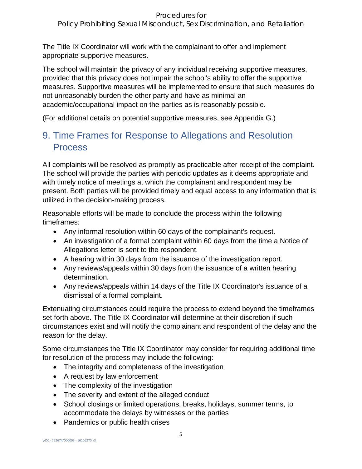Policy Prohibiting Sexual Misconduct, Sex Discrimination, and Retaliation

The Title IX Coordinator will work with the complainant to offer and implement appropriate supportive measures.

The school will maintain the privacy of any individual receiving supportive measures, provided that this privacy does not impair the school's ability to offer the supportive measures. Supportive measures will be implemented to ensure that such measures do not unreasonably burden the other party and have as minimal an academic/occupational impact on the parties as is reasonably possible.

(For additional details on potential supportive measures, see Appendix G.)

# 9. Time Frames for Response to Allegations and Resolution Process

All complaints will be resolved as promptly as practicable after receipt of the complaint. The school will provide the parties with periodic updates as it deems appropriate and with timely notice of meetings at which the complainant and respondent may be present. Both parties will be provided timely and equal access to any information that is utilized in the decision-making process.

Reasonable efforts will be made to conclude the process within the following timeframes:

- Any informal resolution within 60 days of the complainant's request.
- An investigation of a formal complaint within 60 days from the time a Notice of Allegations letter is sent to the respondent.
- A hearing within 30 days from the issuance of the investigation report.
- Any reviews/appeals within 30 days from the issuance of a written hearing determination.
- Any reviews/appeals within 14 days of the Title IX Coordinator's issuance of a dismissal of a formal complaint.

Extenuating circumstances could require the process to extend beyond the timeframes set forth above. The Title IX Coordinator will determine at their discretion if such circumstances exist and will notify the complainant and respondent of the delay and the reason for the delay.

Some circumstances the Title IX Coordinator may consider for requiring additional time for resolution of the process may include the following:

- The integrity and completeness of the investigation
- A request by law enforcement
- The complexity of the investigation
- The severity and extent of the alleged conduct
- School closings or limited operations, breaks, holidays, summer terms, to accommodate the delays by witnesses or the parties
- Pandemics or public health crises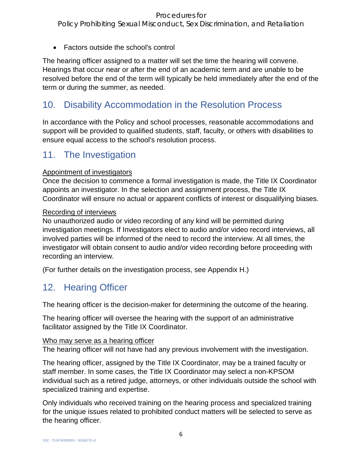Policy Prohibiting Sexual Misconduct, Sex Discrimination, and Retaliation

• Factors outside the school's control

The hearing officer assigned to a matter will set the time the hearing will convene. Hearings that occur near or after the end of an academic term and are unable to be resolved before the end of the term will typically be held immediately after the end of the term or during the summer, as needed.

# 10. Disability Accommodation in the Resolution Process

In accordance with the Policy and school processes, reasonable accommodations and support will be provided to qualified students, staff, faculty, or others with disabilities to ensure equal access to the school's resolution process.

# 11. The Investigation

# Appointment of investigators

Once the decision to commence a formal investigation is made, the Title IX Coordinator appoints an investigator. In the selection and assignment process, the Title IX Coordinator will ensure no actual or apparent conflicts of interest or disqualifying biases.

# Recording of interviews

No unauthorized audio or video recording of any kind will be permitted during investigation meetings. If Investigators elect to audio and/or video record interviews, all involved parties will be informed of the need to record the interview. At all times, the investigator will obtain consent to audio and/or video recording before proceeding with recording an interview.

(For further details on the investigation process, see Appendix H.)

# 12. Hearing Officer

The hearing officer is the decision-maker for determining the outcome of the hearing.

The hearing officer will oversee the hearing with the support of an administrative facilitator assigned by the Title IX Coordinator.

# Who may serve as a hearing officer

The hearing officer will not have had any previous involvement with the investigation.

The hearing officer, assigned by the Title IX Coordinator, may be a trained faculty or staff member. In some cases, the Title IX Coordinator may select a non-KPSOM individual such as a retired judge, attorneys, or other individuals outside the school with specialized training and expertise.

Only individuals who received training on the hearing process and specialized training for the unique issues related to prohibited conduct matters will be selected to serve as the hearing officer.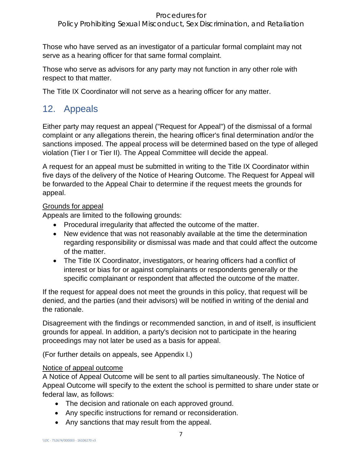Policy Prohibiting Sexual Misconduct, Sex Discrimination, and Retaliation

Those who have served as an investigator of a particular formal complaint may not serve as a hearing officer for that same formal complaint.

Those who serve as advisors for any party may not function in any other role with respect to that matter.

The Title IX Coordinator will not serve as a hearing officer for any matter.

# 12. Appeals

Either party may request an appeal ("Request for Appeal") of the dismissal of a formal complaint or any allegations therein, the hearing officer's final determination and/or the sanctions imposed. The appeal process will be determined based on the type of alleged violation (Tier I or Tier II). The Appeal Committee will decide the appeal.

A request for an appeal must be submitted in writing to the Title IX Coordinator within five days of the delivery of the Notice of Hearing Outcome. The Request for Appeal will be forwarded to the Appeal Chair to determine if the request meets the grounds for appeal.

# Grounds for appeal

Appeals are limited to the following grounds:

- Procedural irregularity that affected the outcome of the matter.
- New evidence that was not reasonably available at the time the determination regarding responsibility or dismissal was made and that could affect the outcome of the matter.
- The Title IX Coordinator, investigators, or hearing officers had a conflict of interest or bias for or against complainants or respondents generally or the specific complainant or respondent that affected the outcome of the matter.

If the request for appeal does not meet the grounds in this policy, that request will be denied, and the parties (and their advisors) will be notified in writing of the denial and the rationale.

Disagreement with the findings or recommended sanction, in and of itself, is insufficient grounds for appeal. In addition, a party's decision not to participate in the hearing proceedings may not later be used as a basis for appeal.

(For further details on appeals, see Appendix I.)

# Notice of appeal outcome

A Notice of Appeal Outcome will be sent to all parties simultaneously. The Notice of Appeal Outcome will specify to the extent the school is permitted to share under state or federal law, as follows:

- The decision and rationale on each approved ground.
- Any specific instructions for remand or reconsideration.
- Any sanctions that may result from the appeal.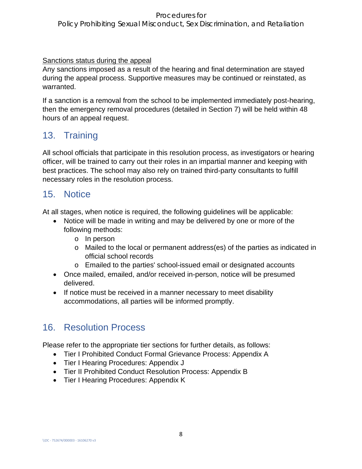Policy Prohibiting Sexual Misconduct, Sex Discrimination, and Retaliation

Sanctions status during the appeal

Any sanctions imposed as a result of the hearing and final determination are stayed during the appeal process. Supportive measures may be continued or reinstated, as warranted.

If a sanction is a removal from the school to be implemented immediately post-hearing, then the emergency removal procedures (detailed in Section 7) will be held within 48 hours of an appeal request.

# 13. Training

All school officials that participate in this resolution process, as investigators or hearing officer, will be trained to carry out their roles in an impartial manner and keeping with best practices. The school may also rely on trained third-party consultants to fulfill necessary roles in the resolution process.

# 15. Notice

At all stages, when notice is required, the following guidelines will be applicable:

- Notice will be made in writing and may be delivered by one or more of the following methods:
	- o In person
	- o Mailed to the local or permanent address(es) of the parties as indicated in official school records
	- o Emailed to the parties' school-issued email or designated accounts
- Once mailed, emailed, and/or received in-person, notice will be presumed delivered.
- If notice must be received in a manner necessary to meet disability accommodations, all parties will be informed promptly.

# 16. Resolution Process

Please refer to the appropriate tier sections for further details, as follows:

- Tier I Prohibited Conduct Formal Grievance Process: Appendix A
- Tier I Hearing Procedures: Appendix J
- Tier II Prohibited Conduct Resolution Process: Appendix B
- Tier I Hearing Procedures: Appendix K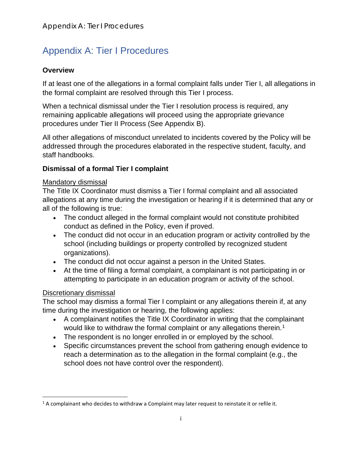# Appendix A: Tier I Procedures

# **Overview**

If at least one of the allegations in a formal complaint falls under Tier I, all allegations in the formal complaint are resolved through this Tier I process.

When a technical dismissal under the Tier I resolution process is required, any remaining applicable allegations will proceed using the appropriate grievance procedures under Tier II Process (See Appendix B).

All other allegations of misconduct unrelated to incidents covered by the Policy will be addressed through the procedures elaborated in the respective student, faculty, and staff handbooks.

# **Dismissal of a formal Tier I complaint**

### Mandatory dismissal

The Title IX Coordinator must dismiss a Tier I formal complaint and all associated allegations at any time during the investigation or hearing if it is determined that any or all of the following is true:

- The conduct alleged in the formal complaint would not constitute prohibited conduct as defined in the Policy, even if proved.
- The conduct did not occur in an education program or activity controlled by the school (including buildings or property controlled by recognized student organizations).
- The conduct did not occur against a person in the United States.
- At the time of filing a formal complaint, a complainant is not participating in or attempting to participate in an education program or activity of the school.

# Discretionary dismissal

The school may dismiss a formal Tier I complaint or any allegations therein if, at any time during the investigation or hearing, the following applies:

- A complainant notifies the Title IX Coordinator in writing that the complainant would like to withdraw the formal complaint or any allegations therein.<sup>[1](#page-8-0)</sup>
- The respondent is no longer enrolled in or employed by the school.
- Specific circumstances prevent the school from gathering enough evidence to reach a determination as to the allegation in the formal complaint (e.g., the school does not have control over the respondent).

<span id="page-8-0"></span> $<sup>1</sup>$  A complainant who decides to withdraw a Complaint may later request to reinstate it or refile it.</sup>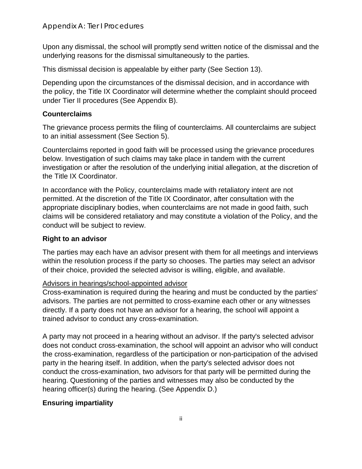Upon any dismissal, the school will promptly send written notice of the dismissal and the underlying reasons for the dismissal simultaneously to the parties.

This dismissal decision is appealable by either party (See Section 13).

Depending upon the circumstances of the dismissal decision, and in accordance with the policy, the Title IX Coordinator will determine whether the complaint should proceed under Tier II procedures (See Appendix B).

# **Counterclaims**

The grievance process permits the filing of counterclaims. All counterclaims are subject to an initial assessment (See Section 5).

Counterclaims reported in good faith will be processed using the grievance procedures below. Investigation of such claims may take place in tandem with the current investigation or after the resolution of the underlying initial allegation, at the discretion of the Title IX Coordinator.

In accordance with the Policy, counterclaims made with retaliatory intent are not permitted. At the discretion of the Title IX Coordinator, after consultation with the appropriate disciplinary bodies, when counterclaims are not made in good faith, such claims will be considered retaliatory and may constitute a violation of the Policy, and the conduct will be subject to review.

# **Right to an advisor**

The parties may each have an advisor present with them for all meetings and interviews within the resolution process if the party so chooses. The parties may select an advisor of their choice, provided the selected advisor is willing, eligible, and available.

### Advisors in hearings/school-appointed advisor

Cross-examination is required during the hearing and must be conducted by the parties' advisors. The parties are not permitted to cross-examine each other or any witnesses directly. If a party does not have an advisor for a hearing, the school will appoint a trained advisor to conduct any cross-examination.

A party may not proceed in a hearing without an advisor. If the party's selected advisor does not conduct cross-examination, the school will appoint an advisor who will conduct the cross-examination, regardless of the participation or non-participation of the advised party in the hearing itself. In addition, when the party's selected advisor does not conduct the cross-examination, two advisors for that party will be permitted during the hearing. Questioning of the parties and witnesses may also be conducted by the hearing officer(s) during the hearing. (See Appendix D.)

# **Ensuring impartiality**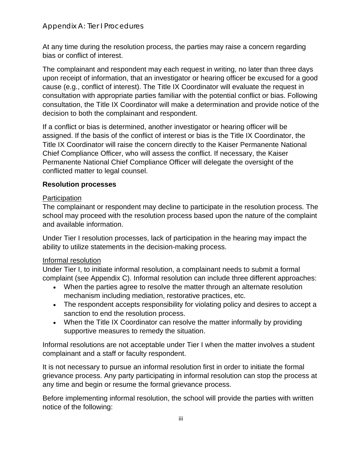At any time during the resolution process, the parties may raise a concern regarding bias or conflict of interest.

The complainant and respondent may each request in writing, no later than three days upon receipt of information, that an investigator or hearing officer be excused for a good cause (e.g., conflict of interest). The Title IX Coordinator will evaluate the request in consultation with appropriate parties familiar with the potential conflict or bias. Following consultation, the Title IX Coordinator will make a determination and provide notice of the decision to both the complainant and respondent.

If a conflict or bias is determined, another investigator or hearing officer will be assigned. If the basis of the conflict of interest or bias is the Title IX Coordinator, the Title IX Coordinator will raise the concern directly to the Kaiser Permanente National Chief Compliance Officer, who will assess the conflict. If necessary, the Kaiser Permanente National Chief Compliance Officer will delegate the oversight of the conflicted matter to legal counsel.

# **Resolution processes**

# **Participation**

The complainant or respondent may decline to participate in the resolution process. The school may proceed with the resolution process based upon the nature of the complaint and available information.

Under Tier I resolution processes, lack of participation in the hearing may impact the ability to utilize statements in the decision-making process.

# Informal resolution

Under Tier I, to initiate informal resolution, a complainant needs to submit a formal complaint (see Appendix C). Informal resolution can include three different approaches:

- When the parties agree to resolve the matter through an alternate resolution mechanism including mediation, restorative practices, etc.
- The respondent accepts responsibility for violating policy and desires to accept a sanction to end the resolution process.
- When the Title IX Coordinator can resolve the matter informally by providing supportive measures to remedy the situation.

Informal resolutions are not acceptable under Tier I when the matter involves a student complainant and a staff or faculty respondent.

It is not necessary to pursue an informal resolution first in order to initiate the formal grievance process. Any party participating in informal resolution can stop the process at any time and begin or resume the formal grievance process.

Before implementing informal resolution, the school will provide the parties with written notice of the following: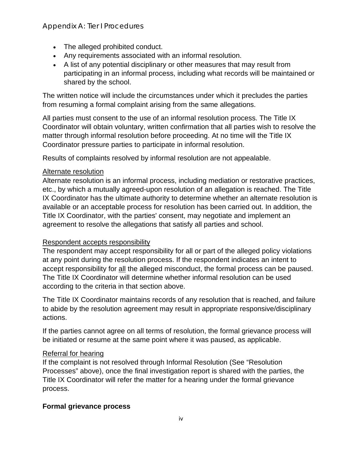# Appendix A: Tier I Procedures

- The alleged prohibited conduct.
- Any requirements associated with an informal resolution.
- A list of any potential disciplinary or other measures that may result from participating in an informal process, including what records will be maintained or shared by the school.

The written notice will include the circumstances under which it precludes the parties from resuming a formal complaint arising from the same allegations.

All parties must consent to the use of an informal resolution process. The Title IX Coordinator will obtain voluntary, written confirmation that all parties wish to resolve the matter through informal resolution before proceeding. At no time will the Title IX Coordinator pressure parties to participate in informal resolution.

Results of complaints resolved by informal resolution are not appealable.

#### Alternate resolution

Alternate resolution is an informal process, including mediation or restorative practices, etc., by which a mutually agreed-upon resolution of an allegation is reached. The Title IX Coordinator has the ultimate authority to determine whether an alternate resolution is available or an acceptable process for resolution has been carried out. In addition, the Title IX Coordinator, with the parties' consent, may negotiate and implement an agreement to resolve the allegations that satisfy all parties and school.

### Respondent accepts responsibility

The respondent may accept responsibility for all or part of the alleged policy violations at any point during the resolution process. If the respondent indicates an intent to accept responsibility for all the alleged misconduct, the formal process can be paused. The Title IX Coordinator will determine whether informal resolution can be used according to the criteria in that section above.

The Title IX Coordinator maintains records of any resolution that is reached, and failure to abide by the resolution agreement may result in appropriate responsive/disciplinary actions.

If the parties cannot agree on all terms of resolution, the formal grievance process will be initiated or resume at the same point where it was paused, as applicable.

### Referral for hearing

If the complaint is not resolved through Informal Resolution (See "Resolution Processes" above), once the final investigation report is shared with the parties, the Title IX Coordinator will refer the matter for a hearing under the formal grievance process.

### **Formal grievance process**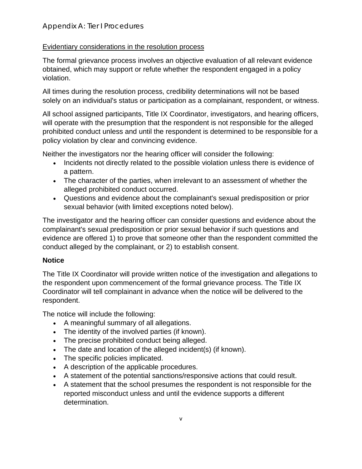# Evidentiary considerations in the resolution process

The formal grievance process involves an objective evaluation of all relevant evidence obtained, which may support or refute whether the respondent engaged in a policy violation.

All times during the resolution process, credibility determinations will not be based solely on an individual's status or participation as a complainant, respondent, or witness.

All school assigned participants, Title IX Coordinator, investigators, and hearing officers, will operate with the presumption that the respondent is not responsible for the alleged prohibited conduct unless and until the respondent is determined to be responsible for a policy violation by clear and convincing evidence.

Neither the investigators nor the hearing officer will consider the following:

- Incidents not directly related to the possible violation unless there is evidence of a pattern.
- The character of the parties, when irrelevant to an assessment of whether the alleged prohibited conduct occurred.
- Questions and evidence about the complainant's sexual predisposition or prior sexual behavior (with limited exceptions noted below).

The investigator and the hearing officer can consider questions and evidence about the complainant's sexual predisposition or prior sexual behavior if such questions and evidence are offered 1) to prove that someone other than the respondent committed the conduct alleged by the complainant, or 2) to establish consent.

# **Notice**

The Title IX Coordinator will provide written notice of the investigation and allegations to the respondent upon commencement of the formal grievance process. The Title IX Coordinator will tell complainant in advance when the notice will be delivered to the respondent.

The notice will include the following:

- A meaningful summary of all allegations.
- The identity of the involved parties (if known).
- The precise prohibited conduct being alleged.
- The date and location of the alleged incident(s) (if known).
- The specific policies implicated.
- A description of the applicable procedures.
- A statement of the potential sanctions/responsive actions that could result.
- A statement that the school presumes the respondent is not responsible for the reported misconduct unless and until the evidence supports a different determination.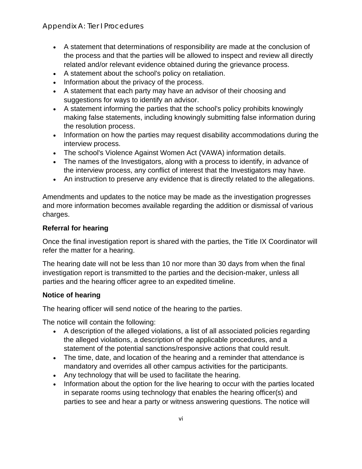- A statement that determinations of responsibility are made at the conclusion of the process and that the parties will be allowed to inspect and review all directly related and/or relevant evidence obtained during the grievance process.
- A statement about the school's policy on retaliation.
- Information about the privacy of the process.
- A statement that each party may have an advisor of their choosing and suggestions for ways to identify an advisor.
- A statement informing the parties that the school's policy prohibits knowingly making false statements, including knowingly submitting false information during the resolution process.
- Information on how the parties may request disability accommodations during the interview process.
- The school's Violence Against Women Act (VAWA) information details.
- The names of the Investigators, along with a process to identify, in advance of the interview process, any conflict of interest that the Investigators may have.
- An instruction to preserve any evidence that is directly related to the allegations.

Amendments and updates to the notice may be made as the investigation progresses and more information becomes available regarding the addition or dismissal of various charges.

# **Referral for hearing**

Once the final investigation report is shared with the parties, the Title IX Coordinator will refer the matter for a hearing.

The hearing date will not be less than 10 nor more than 30 days from when the final investigation report is transmitted to the parties and the decision-maker, unless all parties and the hearing officer agree to an expedited timeline.

# **Notice of hearing**

The hearing officer will send notice of the hearing to the parties.

The notice will contain the following:

- A description of the alleged violations, a list of all associated policies regarding the alleged violations, a description of the applicable procedures, and a statement of the potential sanctions/responsive actions that could result.
- The time, date, and location of the hearing and a reminder that attendance is mandatory and overrides all other campus activities for the participants.
- Any technology that will be used to facilitate the hearing.
- Information about the option for the live hearing to occur with the parties located in separate rooms using technology that enables the hearing officer(s) and parties to see and hear a party or witness answering questions. The notice will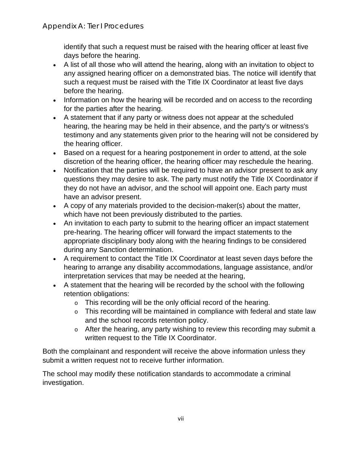identify that such a request must be raised with the hearing officer at least five days before the hearing.

- A list of all those who will attend the hearing, along with an invitation to object to any assigned hearing officer on a demonstrated bias. The notice will identify that such a request must be raised with the Title IX Coordinator at least five days before the hearing.
- Information on how the hearing will be recorded and on access to the recording for the parties after the hearing.
- A statement that if any party or witness does not appear at the scheduled hearing, the hearing may be held in their absence, and the party's or witness's testimony and any statements given prior to the hearing will not be considered by the hearing officer.
- Based on a request for a hearing postponement in order to attend, at the sole discretion of the hearing officer, the hearing officer may reschedule the hearing.
- Notification that the parties will be required to have an advisor present to ask any questions they may desire to ask. The party must notify the Title IX Coordinator if they do not have an advisor, and the school will appoint one. Each party must have an advisor present.
- A copy of any materials provided to the decision-maker(s) about the matter, which have not been previously distributed to the parties.
- An invitation to each party to submit to the hearing officer an impact statement pre-hearing. The hearing officer will forward the impact statements to the appropriate disciplinary body along with the hearing findings to be considered during any Sanction determination.
- A requirement to contact the Title IX Coordinator at least seven days before the hearing to arrange any disability accommodations, language assistance, and/or interpretation services that may be needed at the hearing,
- A statement that the hearing will be recorded by the school with the following retention obligations:
	- o This recording will be the only official record of the hearing.
	- o This recording will be maintained in compliance with federal and state law and the school records retention policy.
	- o After the hearing, any party wishing to review this recording may submit a written request to the Title IX Coordinator.

Both the complainant and respondent will receive the above information unless they submit a written request not to receive further information.

The school may modify these notification standards to accommodate a criminal investigation.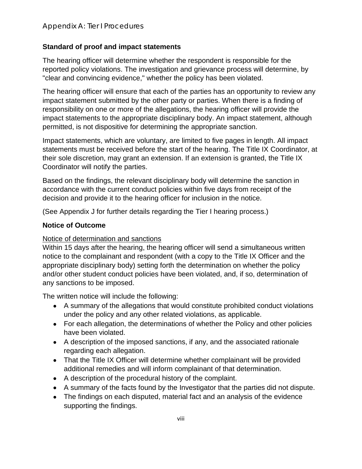# **Standard of proof and impact statements**

The hearing officer will determine whether the respondent is responsible for the reported policy violations. The investigation and grievance process will determine, by "clear and convincing evidence," whether the policy has been violated.

The hearing officer will ensure that each of the parties has an opportunity to review any impact statement submitted by the other party or parties. When there is a finding of responsibility on one or more of the allegations, the hearing officer will provide the impact statements to the appropriate disciplinary body. An impact statement, although permitted, is not dispositive for determining the appropriate sanction.

Impact statements, which are voluntary, are limited to five pages in length. All impact statements must be received before the start of the hearing. The Title IX Coordinator, at their sole discretion, may grant an extension. If an extension is granted, the Title IX Coordinator will notify the parties.

Based on the findings, the relevant disciplinary body will determine the sanction in accordance with the current conduct policies within five days from receipt of the decision and provide it to the hearing officer for inclusion in the notice.

(See Appendix J for further details regarding the Tier I hearing process.)

### **Notice of Outcome**

### Notice of determination and sanctions

Within 15 days after the hearing, the hearing officer will send a simultaneous written notice to the complainant and respondent (with a copy to the Title IX Officer and the appropriate disciplinary body) setting forth the determination on whether the policy and/or other student conduct policies have been violated, and, if so, determination of any sanctions to be imposed.

The written notice will include the following:

- A summary of the allegations that would constitute prohibited conduct violations under the policy and any other related violations, as applicable.
- For each allegation, the determinations of whether the Policy and other policies have been violated.
- A description of the imposed sanctions, if any, and the associated rationale regarding each allegation.
- That the Title IX Officer will determine whether complainant will be provided additional remedies and will inform complainant of that determination.
- A description of the procedural history of the complaint.
- A summary of the facts found by the Investigator that the parties did not dispute.
- The findings on each disputed, material fact and an analysis of the evidence supporting the findings.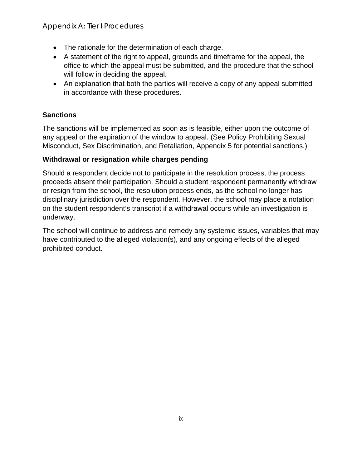Appendix A: Tier I Procedures

- The rationale for the determination of each charge.
- A statement of the right to appeal, grounds and timeframe for the appeal, the office to which the appeal must be submitted, and the procedure that the school will follow in deciding the appeal.
- An explanation that both the parties will receive a copy of any appeal submitted in accordance with these procedures.

# **Sanctions**

The sanctions will be implemented as soon as is feasible, either upon the outcome of any appeal or the expiration of the window to appeal. (See Policy Prohibiting Sexual Misconduct, Sex Discrimination, and Retaliation, Appendix 5 for potential sanctions.)

# **Withdrawal or resignation while charges pending**

Should a respondent decide not to participate in the resolution process, the process proceeds absent their participation. Should a student respondent permanently withdraw or resign from the school, the resolution process ends, as the school no longer has disciplinary jurisdiction over the respondent. However, the school may place a notation on the student respondent's transcript if a withdrawal occurs while an investigation is underway.

The school will continue to address and remedy any systemic issues, variables that may have contributed to the alleged violation(s), and any ongoing effects of the alleged prohibited conduct.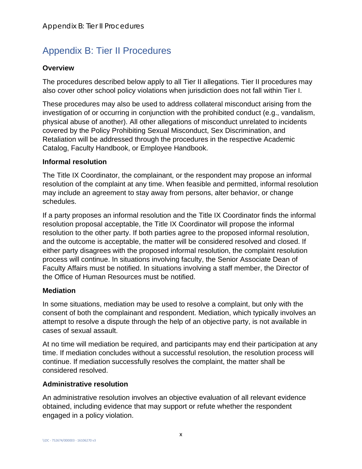# Appendix B: Tier II Procedures

### **Overview**

The procedures described below apply to all Tier II allegations. Tier II procedures may also cover other school policy violations when jurisdiction does not fall within Tier I.

These procedures may also be used to address collateral misconduct arising from the investigation of or occurring in conjunction with the prohibited conduct (e.g., vandalism, physical abuse of another). All other allegations of misconduct unrelated to incidents covered by the Policy Prohibiting Sexual Misconduct, Sex Discrimination, and Retaliation will be addressed through the procedures in the respective Academic Catalog, Faculty Handbook, or Employee Handbook.

### **Informal resolution**

The Title IX Coordinator, the complainant, or the respondent may propose an informal resolution of the complaint at any time. When feasible and permitted, informal resolution may include an agreement to stay away from persons, alter behavior, or change schedules.

If a party proposes an informal resolution and the Title IX Coordinator finds the informal resolution proposal acceptable, the Title IX Coordinator will propose the informal resolution to the other party. If both parties agree to the proposed informal resolution, and the outcome is acceptable, the matter will be considered resolved and closed. If either party disagrees with the proposed informal resolution, the complaint resolution process will continue. In situations involving faculty, the Senior Associate Dean of Faculty Affairs must be notified. In situations involving a staff member, the Director of the Office of Human Resources must be notified.

### **Mediation**

In some situations, mediation may be used to resolve a complaint, but only with the consent of both the complainant and respondent. Mediation, which typically involves an attempt to resolve a dispute through the help of an objective party, is not available in cases of sexual assault.

At no time will mediation be required, and participants may end their participation at any time. If mediation concludes without a successful resolution, the resolution process will continue. If mediation successfully resolves the complaint, the matter shall be considered resolved.

### **Administrative resolution**

An administrative resolution involves an objective evaluation of all relevant evidence obtained, including evidence that may support or refute whether the respondent engaged in a policy violation.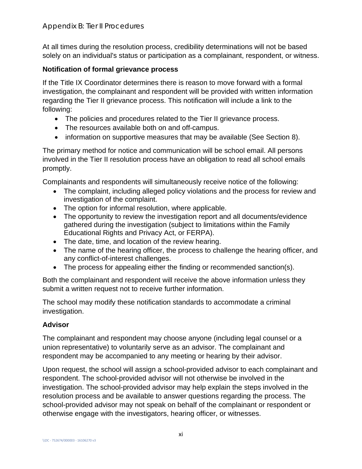At all times during the resolution process, credibility determinations will not be based solely on an individual's status or participation as a complainant, respondent, or witness.

# **Notification of formal grievance process**

If the Title IX Coordinator determines there is reason to move forward with a formal investigation, the complainant and respondent will be provided with written information regarding the Tier II grievance process. This notification will include a link to the following:

- The policies and procedures related to the Tier II grievance process.
- The resources available both on and off-campus.
- information on supportive measures that may be available (See Section 8).

The primary method for notice and communication will be school email. All persons involved in the Tier II resolution process have an obligation to read all school emails promptly.

Complainants and respondents will simultaneously receive notice of the following:

- The complaint, including alleged policy violations and the process for review and investigation of the complaint.
- The option for informal resolution, where applicable.
- The opportunity to review the investigation report and all documents/evidence gathered during the investigation (subject to limitations within the Family Educational Rights and Privacy Act, or FERPA).
- The date, time, and location of the review hearing.
- The name of the hearing officer, the process to challenge the hearing officer, and any conflict-of-interest challenges.
- The process for appealing either the finding or recommended sanction(s).

Both the complainant and respondent will receive the above information unless they submit a written request not to receive further information.

The school may modify these notification standards to accommodate a criminal investigation.

# **Advisor**

The complainant and respondent may choose anyone (including legal counsel or a union representative) to voluntarily serve as an advisor. The complainant and respondent may be accompanied to any meeting or hearing by their advisor.

Upon request, the school will assign a school-provided advisor to each complainant and respondent. The school-provided advisor will not otherwise be involved in the investigation. The school-provided advisor may help explain the steps involved in the resolution process and be available to answer questions regarding the process. The school-provided advisor may not speak on behalf of the complainant or respondent or otherwise engage with the investigators, hearing officer, or witnesses.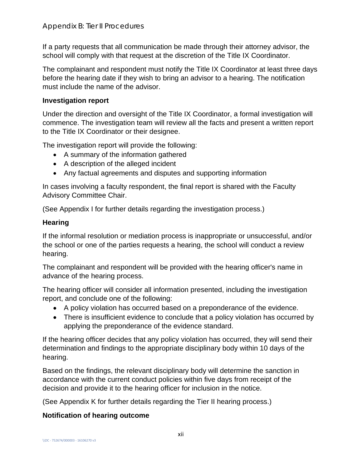If a party requests that all communication be made through their attorney advisor, the school will comply with that request at the discretion of the Title IX Coordinator.

The complainant and respondent must notify the Title IX Coordinator at least three days before the hearing date if they wish to bring an advisor to a hearing. The notification must include the name of the advisor.

### **Investigation report**

Under the direction and oversight of the Title IX Coordinator, a formal investigation will commence. The investigation team will review all the facts and present a written report to the Title IX Coordinator or their designee.

The investigation report will provide the following:

- A summary of the information gathered
- A description of the alleged incident
- Any factual agreements and disputes and supporting information

In cases involving a faculty respondent, the final report is shared with the Faculty Advisory Committee Chair.

(See Appendix I for further details regarding the investigation process.)

# **Hearing**

If the informal resolution or mediation process is inappropriate or unsuccessful, and/or the school or one of the parties requests a hearing, the school will conduct a review hearing.

The complainant and respondent will be provided with the hearing officer's name in advance of the hearing process.

The hearing officer will consider all information presented, including the investigation report, and conclude one of the following:

- A policy violation has occurred based on a preponderance of the evidence.
- There is insufficient evidence to conclude that a policy violation has occurred by applying the preponderance of the evidence standard.

If the hearing officer decides that any policy violation has occurred, they will send their determination and findings to the appropriate disciplinary body within 10 days of the hearing.

Based on the findings, the relevant disciplinary body will determine the sanction in accordance with the current conduct policies within five days from receipt of the decision and provide it to the hearing officer for inclusion in the notice.

(See Appendix K for further details regarding the Tier II hearing process.)

# **Notification of hearing outcome**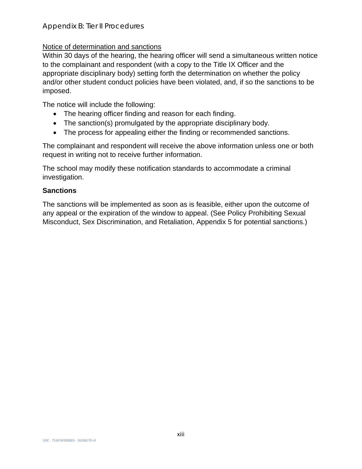# Notice of determination and sanctions

Within 30 days of the hearing, the hearing officer will send a simultaneous written notice to the complainant and respondent (with a copy to the Title IX Officer and the appropriate disciplinary body) setting forth the determination on whether the policy and/or other student conduct policies have been violated, and, if so the sanctions to be imposed.

The notice will include the following:

- The hearing officer finding and reason for each finding.
- The sanction(s) promulgated by the appropriate disciplinary body.
- The process for appealing either the finding or recommended sanctions.

The complainant and respondent will receive the above information unless one or both request in writing not to receive further information.

The school may modify these notification standards to accommodate a criminal investigation.

# **Sanctions**

The sanctions will be implemented as soon as is feasible, either upon the outcome of any appeal or the expiration of the window to appeal. (See Policy Prohibiting Sexual Misconduct, Sex Discrimination, and Retaliation, Appendix 5 for potential sanctions.)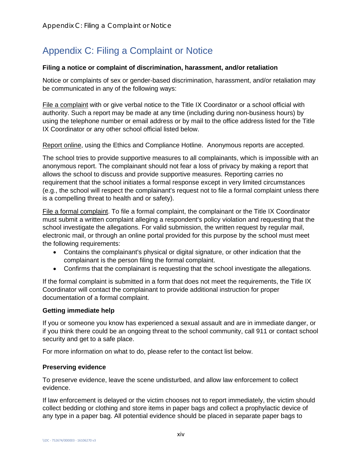# Appendix C: Filing a Complaint or Notice

#### **Filing a notice or complaint of discrimination, harassment, and/or retaliation**

Notice or complaints of sex or gender-based discrimination, harassment, and/or retaliation may be communicated in any of the following ways:

File a complaint with or give verbal notice to the Title IX Coordinator or a school official with authority. Such a report may be made at any time (including during non-business hours) by using the telephone number or email address or by mail to the office address listed for the Title IX Coordinator or any other school official listed below.

Report online, using the Ethics and Compliance Hotline. Anonymous reports are accepted.

The school tries to provide supportive measures to all complainants, which is impossible with an anonymous report. The complainant should not fear a loss of privacy by making a report that allows the school to discuss and provide supportive measures. Reporting carries no requirement that the school initiates a formal response except in very limited circumstances (e.g., the school will respect the complainant's request not to file a formal complaint unless there is a compelling threat to health and or safety).

File a formal complaint. To file a formal complaint, the complainant or the Title IX Coordinator must submit a written complaint alleging a respondent's policy violation and requesting that the school investigate the allegations. For valid submission, the written request by regular mail, electronic mail, or through an online portal provided for this purpose by the school must meet the following requirements:

- Contains the complainant's physical or digital signature, or other indication that the complainant is the person filing the formal complaint.
- Confirms that the complainant is requesting that the school investigate the allegations.

If the formal complaint is submitted in a form that does not meet the requirements, the Title IX Coordinator will contact the complainant to provide additional instruction for proper documentation of a formal complaint.

#### **Getting immediate help**

If you or someone you know has experienced a sexual assault and are in immediate danger, or if you think there could be an ongoing threat to the school community, call 911 or contact school security and get to a safe place.

For more information on what to do, please refer to the contact list below.

#### **Preserving evidence**

To preserve evidence, leave the scene undisturbed, and allow law enforcement to collect evidence.

If law enforcement is delayed or the victim chooses not to report immediately, the victim should collect bedding or clothing and store items in paper bags and collect a prophylactic device of any type in a paper bag. All potential evidence should be placed in separate paper bags to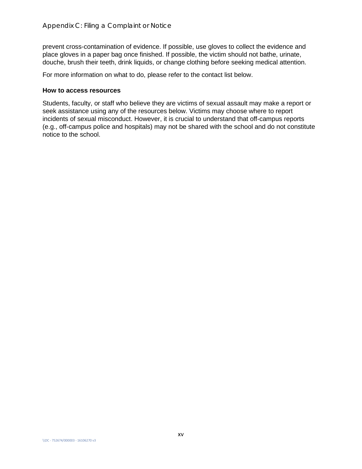prevent cross-contamination of evidence. If possible, use gloves to collect the evidence and place gloves in a paper bag once finished. If possible, the victim should not bathe, urinate, douche, brush their teeth, drink liquids, or change clothing before seeking medical attention.

For more information on what to do, please refer to the contact list below.

#### **How to access resources**

Students, faculty, or staff who believe they are victims of sexual assault may make a report or seek assistance using any of the resources below. Victims may choose where to report incidents of sexual misconduct. However, it is crucial to understand that off-campus reports (e.g., off-campus police and hospitals) may not be shared with the school and do not constitute notice to the school.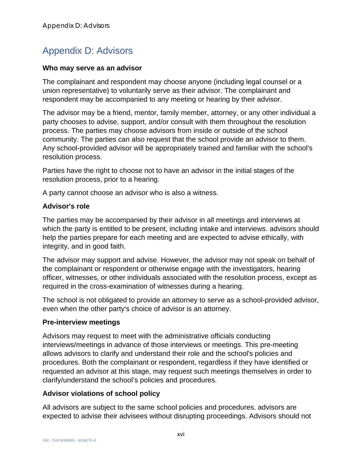# Appendix D: Advisors

#### **Who may serve as an advisor**

The complainant and respondent may choose anyone (including legal counsel or a union representative) to voluntarily serve as their advisor. The complainant and respondent may be accompanied to any meeting or hearing by their advisor.

The advisor may be a friend, mentor, family member, attorney, or any other individual a party chooses to advise, support, and/or consult with them throughout the resolution process. The parties may choose advisors from inside or outside of the school community. The parties can also request that the school provide an advisor to them. Any school-provided advisor will be appropriately trained and familiar with the school's resolution process.

Parties have the right to choose not to have an advisor in the initial stages of the resolution process, prior to a hearing.

A party cannot choose an advisor who is also a witness.

### **Advisor's role**

The parties may be accompanied by their advisor in all meetings and interviews at which the party is entitled to be present, including intake and interviews. advisors should help the parties prepare for each meeting and are expected to advise ethically, with integrity, and in good faith.

The advisor may support and advise. However, the advisor may not speak on behalf of the complainant or respondent or otherwise engage with the investigators, hearing officer, witnesses, or other individuals associated with the resolution process, except as required in the cross-examination of witnesses during a hearing.

The school is not obligated to provide an attorney to serve as a school-provided advisor, even when the other party's choice of advisor is an attorney.

### **Pre-interview meetings**

Advisors may request to meet with the administrative officials conducting interviews/meetings in advance of those interviews or meetings. This pre-meeting allows advisors to clarify and understand their role and the school's policies and procedures. Both the complainant or respondent, regardless if they have identified or requested an advisor at this stage, may request such meetings themselves in order to clarify/understand the school's policies and procedures.

### **Advisor violations of school policy**

All advisors are subject to the same school policies and procedures. advisors are expected to advise their advisees without disrupting proceedings. Advisors should not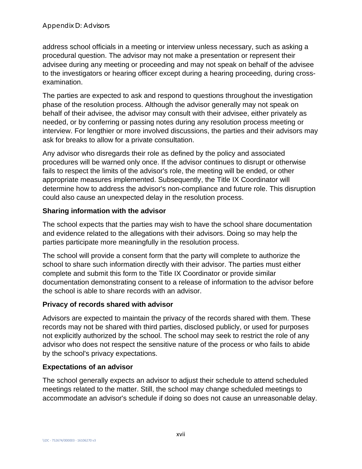address school officials in a meeting or interview unless necessary, such as asking a procedural question. The advisor may not make a presentation or represent their advisee during any meeting or proceeding and may not speak on behalf of the advisee to the investigators or hearing officer except during a hearing proceeding, during crossexamination.

The parties are expected to ask and respond to questions throughout the investigation phase of the resolution process. Although the advisor generally may not speak on behalf of their advisee, the advisor may consult with their advisee, either privately as needed, or by conferring or passing notes during any resolution process meeting or interview. For lengthier or more involved discussions, the parties and their advisors may ask for breaks to allow for a private consultation.

Any advisor who disregards their role as defined by the policy and associated procedures will be warned only once. If the advisor continues to disrupt or otherwise fails to respect the limits of the advisor's role, the meeting will be ended, or other appropriate measures implemented. Subsequently, the Title IX Coordinator will determine how to address the advisor's non-compliance and future role. This disruption could also cause an unexpected delay in the resolution process.

# **Sharing information with the advisor**

The school expects that the parties may wish to have the school share documentation and evidence related to the allegations with their advisors. Doing so may help the parties participate more meaningfully in the resolution process.

The school will provide a consent form that the party will complete to authorize the school to share such information directly with their advisor. The parties must either complete and submit this form to the Title IX Coordinator or provide similar documentation demonstrating consent to a release of information to the advisor before the school is able to share records with an advisor.

### **Privacy of records shared with advisor**

Advisors are expected to maintain the privacy of the records shared with them. These records may not be shared with third parties, disclosed publicly, or used for purposes not explicitly authorized by the school. The school may seek to restrict the role of any advisor who does not respect the sensitive nature of the process or who fails to abide by the school's privacy expectations.

### **Expectations of an advisor**

The school generally expects an advisor to adjust their schedule to attend scheduled meetings related to the matter. Still, the school may change scheduled meetings to accommodate an advisor's schedule if doing so does not cause an unreasonable delay.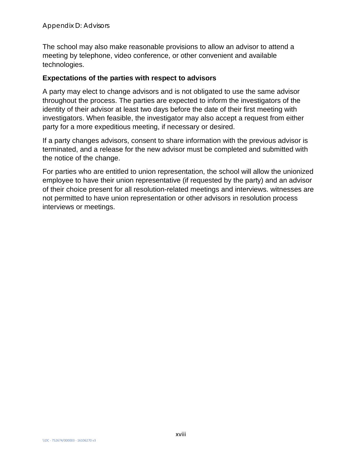The school may also make reasonable provisions to allow an advisor to attend a meeting by telephone, video conference, or other convenient and available technologies.

### **Expectations of the parties with respect to advisors**

A party may elect to change advisors and is not obligated to use the same advisor throughout the process. The parties are expected to inform the investigators of the identity of their advisor at least two days before the date of their first meeting with investigators. When feasible, the investigator may also accept a request from either party for a more expeditious meeting, if necessary or desired.

If a party changes advisors, consent to share information with the previous advisor is terminated, and a release for the new advisor must be completed and submitted with the notice of the change.

For parties who are entitled to union representation, the school will allow the unionized employee to have their union representative (if requested by the party) and an advisor of their choice present for all resolution-related meetings and interviews. witnesses are not permitted to have union representation or other advisors in resolution process interviews or meetings.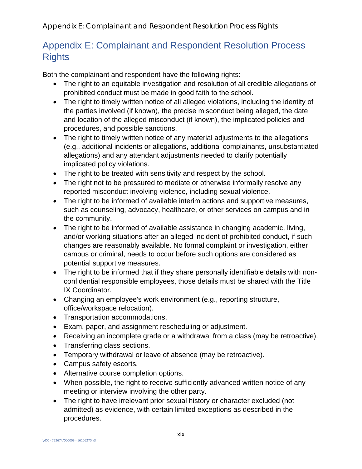# Appendix E: Complainant and Respondent Resolution Process **Rights**

Both the complainant and respondent have the following rights:

- The right to an equitable investigation and resolution of all credible allegations of prohibited conduct must be made in good faith to the school.
- The right to timely written notice of all alleged violations, including the identity of the parties involved (if known), the precise misconduct being alleged, the date and location of the alleged misconduct (if known), the implicated policies and procedures, and possible sanctions.
- The right to timely written notice of any material adjustments to the allegations (e.g., additional incidents or allegations, additional complainants, unsubstantiated allegations) and any attendant adjustments needed to clarify potentially implicated policy violations.
- The right to be treated with sensitivity and respect by the school.
- The right not to be pressured to mediate or otherwise informally resolve any reported misconduct involving violence, including sexual violence.
- The right to be informed of available interim actions and supportive measures, such as counseling, advocacy, healthcare, or other services on campus and in the community.
- The right to be informed of available assistance in changing academic, living, and/or working situations after an alleged incident of prohibited conduct, if such changes are reasonably available. No formal complaint or investigation, either campus or criminal, needs to occur before such options are considered as potential supportive measures.
- The right to be informed that if they share personally identifiable details with nonconfidential responsible employees, those details must be shared with the Title IX Coordinator.
- Changing an employee's work environment (e.g., reporting structure, office/workspace relocation).
- Transportation accommodations.
- Exam, paper, and assignment rescheduling or adjustment.
- Receiving an incomplete grade or a withdrawal from a class (may be retroactive).
- Transferring class sections.
- Temporary withdrawal or leave of absence (may be retroactive).
- Campus safety escorts.
- Alternative course completion options.
- When possible, the right to receive sufficiently advanced written notice of any meeting or interview involving the other party.
- The right to have irrelevant prior sexual history or character excluded (not admitted) as evidence, with certain limited exceptions as described in the procedures.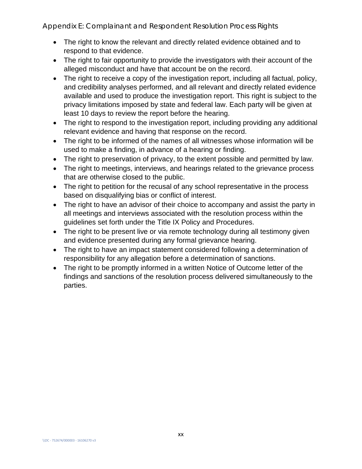Appendix E: Complainant and Respondent Resolution Process Rights

- The right to know the relevant and directly related evidence obtained and to respond to that evidence.
- The right to fair opportunity to provide the investigators with their account of the alleged misconduct and have that account be on the record.
- The right to receive a copy of the investigation report, including all factual, policy, and credibility analyses performed, and all relevant and directly related evidence available and used to produce the investigation report. This right is subject to the privacy limitations imposed by state and federal law. Each party will be given at least 10 days to review the report before the hearing.
- The right to respond to the investigation report, including providing any additional relevant evidence and having that response on the record.
- The right to be informed of the names of all witnesses whose information will be used to make a finding, in advance of a hearing or finding.
- The right to preservation of privacy, to the extent possible and permitted by law.
- The right to meetings, interviews, and hearings related to the grievance process that are otherwise closed to the public.
- The right to petition for the recusal of any school representative in the process based on disqualifying bias or conflict of interest.
- The right to have an advisor of their choice to accompany and assist the party in all meetings and interviews associated with the resolution process within the guidelines set forth under the Title IX Policy and Procedures.
- The right to be present live or via remote technology during all testimony given and evidence presented during any formal grievance hearing.
- The right to have an impact statement considered following a determination of responsibility for any allegation before a determination of sanctions.
- The right to be promptly informed in a written Notice of Outcome letter of the findings and sanctions of the resolution process delivered simultaneously to the parties.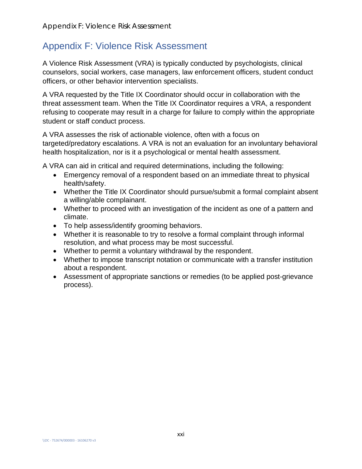# Appendix F: Violence Risk Assessment

A Violence Risk Assessment (VRA) is typically conducted by psychologists, clinical counselors, social workers, case managers, law enforcement officers, student conduct officers, or other behavior intervention specialists.

A VRA requested by the Title IX Coordinator should occur in collaboration with the threat assessment team. When the Title IX Coordinator requires a VRA, a respondent refusing to cooperate may result in a charge for failure to comply within the appropriate student or staff conduct process.

A VRA assesses the risk of actionable violence, often with a focus on targeted/predatory escalations. A VRA is not an evaluation for an involuntary behavioral health hospitalization, nor is it a psychological or mental health assessment.

A VRA can aid in critical and required determinations, including the following:

- Emergency removal of a respondent based on an immediate threat to physical health/safety.
- Whether the Title IX Coordinator should pursue/submit a formal complaint absent a willing/able complainant.
- Whether to proceed with an investigation of the incident as one of a pattern and climate.
- To help assess/identify grooming behaviors.
- Whether it is reasonable to try to resolve a formal complaint through informal resolution, and what process may be most successful.
- Whether to permit a voluntary withdrawal by the respondent.
- Whether to impose transcript notation or communicate with a transfer institution about a respondent.
- Assessment of appropriate sanctions or remedies (to be applied post-grievance process).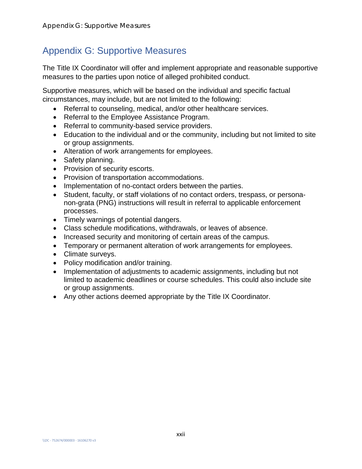# Appendix G: Supportive Measures

The Title IX Coordinator will offer and implement appropriate and reasonable supportive measures to the parties upon notice of alleged prohibited conduct.

Supportive measures, which will be based on the individual and specific factual circumstances, may include, but are not limited to the following:

- Referral to counseling, medical, and/or other healthcare services.
- Referral to the Employee Assistance Program.
- Referral to community-based service providers.
- Education to the individual and or the community, including but not limited to site or group assignments.
- Alteration of work arrangements for employees.
- Safety planning.
- Provision of security escorts.
- Provision of transportation accommodations.
- Implementation of no-contact orders between the parties.
- Student, faculty, or staff violations of no contact orders, trespass, or personanon-grata (PNG) instructions will result in referral to applicable enforcement processes.
- Timely warnings of potential dangers.
- Class schedule modifications, withdrawals, or leaves of absence.
- Increased security and monitoring of certain areas of the campus.
- Temporary or permanent alteration of work arrangements for employees.
- Climate surveys.
- Policy modification and/or training.
- Implementation of adjustments to academic assignments, including but not limited to academic deadlines or course schedules. This could also include site or group assignments.
- Any other actions deemed appropriate by the Title IX Coordinator.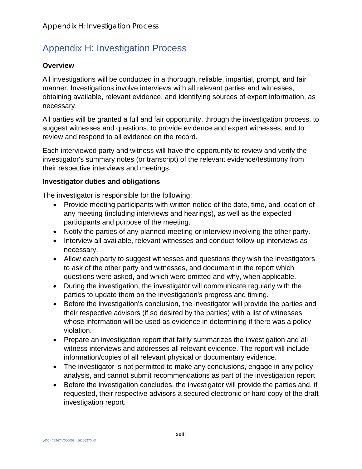# Appendix H: Investigation Process

# **Overview**

All investigations will be conducted in a thorough, reliable, impartial, prompt, and fair manner. Investigations involve interviews with all relevant parties and witnesses, obtaining available, relevant evidence, and identifying sources of expert information, as necessary.

All parties will be granted a full and fair opportunity, through the investigation process, to suggest witnesses and questions, to provide evidence and expert witnesses, and to review and respond to all evidence on the record.

Each interviewed party and witness will have the opportunity to review and verify the investigator's summary notes (or transcript) of the relevant evidence/testimony from their respective interviews and meetings.

# **Investigator duties and obligations**

The investigator is responsible for the following:

- Provide meeting participants with written notice of the date, time, and location of any meeting (including interviews and hearings), as well as the expected participants and purpose of the meeting.
- Notify the parties of any planned meeting or interview involving the other party.
- Interview all available, relevant witnesses and conduct follow-up interviews as necessary.
- Allow each party to suggest witnesses and questions they wish the investigators to ask of the other party and witnesses, and document in the report which questions were asked, and which were omitted and why, when applicable.
- During the investigation, the investigator will communicate regularly with the parties to update them on the investigation's progress and timing.
- Before the investigation's conclusion, the investigator will provide the parties and their respective advisors (if so desired by the parties) with a list of witnesses whose information will be used as evidence in determining if there was a policy violation.
- Prepare an investigation report that fairly summarizes the investigation and all witness interviews and addresses all relevant evidence. The report will include information/copies of all relevant physical or documentary evidence.
- The investigator is not permitted to make any conclusions, engage in any policy analysis, and cannot submit recommendations as part of the investigation report
- Before the investigation concludes, the investigator will provide the parties and, if requested, their respective advisors a secured electronic or hard copy of the draft investigation report.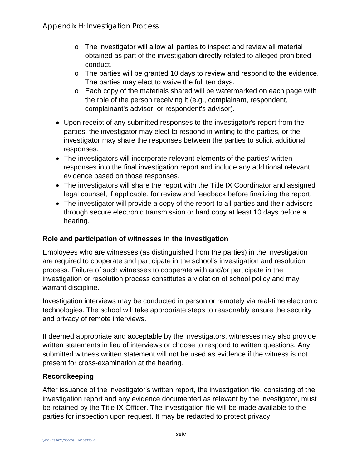- $\circ$  The investigator will allow all parties to inspect and review all material obtained as part of the investigation directly related to alleged prohibited conduct.
- o The parties will be granted 10 days to review and respond to the evidence. The parties may elect to waive the full ten days.
- o Each copy of the materials shared will be watermarked on each page with the role of the person receiving it (e.g., complainant, respondent, complainant's advisor, or respondent's advisor).
- Upon receipt of any submitted responses to the investigator's report from the parties, the investigator may elect to respond in writing to the parties, or the investigator may share the responses between the parties to solicit additional responses.
- The investigators will incorporate relevant elements of the parties' written responses into the final investigation report and include any additional relevant evidence based on those responses.
- The investigators will share the report with the Title IX Coordinator and assigned legal counsel, if applicable, for review and feedback before finalizing the report.
- The investigator will provide a copy of the report to all parties and their advisors through secure electronic transmission or hard copy at least 10 days before a hearing.

# **Role and participation of witnesses in the investigation**

Employees who are witnesses (as distinguished from the parties) in the investigation are required to cooperate and participate in the school's investigation and resolution process. Failure of such witnesses to cooperate with and/or participate in the investigation or resolution process constitutes a violation of school policy and may warrant discipline.

Investigation interviews may be conducted in person or remotely via real-time electronic technologies. The school will take appropriate steps to reasonably ensure the security and privacy of remote interviews.

If deemed appropriate and acceptable by the investigators, witnesses may also provide written statements in lieu of interviews or choose to respond to written questions. Any submitted witness written statement will not be used as evidence if the witness is not present for cross-examination at the hearing.

# **Recordkeeping**

After issuance of the investigator's written report, the investigation file, consisting of the investigation report and any evidence documented as relevant by the investigator, must be retained by the Title IX Officer. The investigation file will be made available to the parties for inspection upon request. It may be redacted to protect privacy.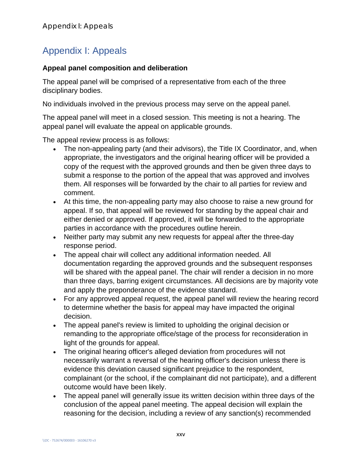# Appendix I: Appeals

### **Appeal panel composition and deliberation**

The appeal panel will be comprised of a representative from each of the three disciplinary bodies.

No individuals involved in the previous process may serve on the appeal panel.

The appeal panel will meet in a closed session. This meeting is not a hearing. The appeal panel will evaluate the appeal on applicable grounds.

The appeal review process is as follows:

- The non-appealing party (and their advisors), the Title IX Coordinator, and, when appropriate, the investigators and the original hearing officer will be provided a copy of the request with the approved grounds and then be given three days to submit a response to the portion of the appeal that was approved and involves them. All responses will be forwarded by the chair to all parties for review and comment.
- At this time, the non-appealing party may also choose to raise a new ground for appeal. If so, that appeal will be reviewed for standing by the appeal chair and either denied or approved. If approved, it will be forwarded to the appropriate parties in accordance with the procedures outline herein.
- Neither party may submit any new requests for appeal after the three-day response period.
- The appeal chair will collect any additional information needed. All documentation regarding the approved grounds and the subsequent responses will be shared with the appeal panel. The chair will render a decision in no more than three days, barring exigent circumstances. All decisions are by majority vote and apply the preponderance of the evidence standard.
- For any approved appeal request, the appeal panel will review the hearing record to determine whether the basis for appeal may have impacted the original decision.
- The appeal panel's review is limited to upholding the original decision or remanding to the appropriate office/stage of the process for reconsideration in light of the grounds for appeal.
- The original hearing officer's alleged deviation from procedures will not necessarily warrant a reversal of the hearing officer's decision unless there is evidence this deviation caused significant prejudice to the respondent, complainant (or the school, if the complainant did not participate), and a different outcome would have been likely.
- The appeal panel will generally issue its written decision within three days of the conclusion of the appeal panel meeting. The appeal decision will explain the reasoning for the decision, including a review of any sanction(s) recommended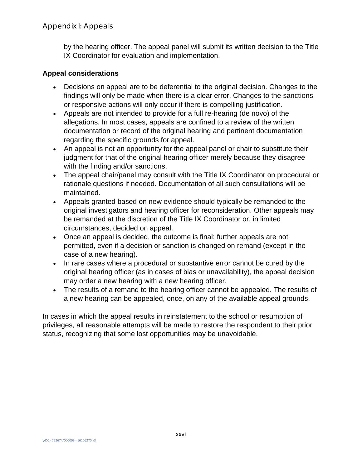by the hearing officer. The appeal panel will submit its written decision to the Title IX Coordinator for evaluation and implementation.

# **Appeal considerations**

- Decisions on appeal are to be deferential to the original decision. Changes to the findings will only be made when there is a clear error. Changes to the sanctions or responsive actions will only occur if there is compelling justification.
- Appeals are not intended to provide for a full re-hearing (de novo) of the allegations. In most cases, appeals are confined to a review of the written documentation or record of the original hearing and pertinent documentation regarding the specific grounds for appeal.
- An appeal is not an opportunity for the appeal panel or chair to substitute their judgment for that of the original hearing officer merely because they disagree with the finding and/or sanctions.
- The appeal chair/panel may consult with the Title IX Coordinator on procedural or rationale questions if needed. Documentation of all such consultations will be maintained.
- Appeals granted based on new evidence should typically be remanded to the original investigators and hearing officer for reconsideration. Other appeals may be remanded at the discretion of the Title IX Coordinator or, in limited circumstances, decided on appeal.
- Once an appeal is decided, the outcome is final: further appeals are not permitted, even if a decision or sanction is changed on remand (except in the case of a new hearing).
- In rare cases where a procedural or substantive error cannot be cured by the original hearing officer (as in cases of bias or unavailability), the appeal decision may order a new hearing with a new hearing officer.
- The results of a remand to the hearing officer cannot be appealed. The results of a new hearing can be appealed, once, on any of the available appeal grounds.

In cases in which the appeal results in reinstatement to the school or resumption of privileges, all reasonable attempts will be made to restore the respondent to their prior status, recognizing that some lost opportunities may be unavoidable.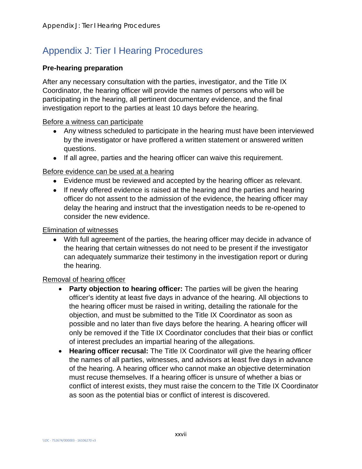# Appendix J: Tier I Hearing Procedures

### **Pre-hearing preparation**

After any necessary consultation with the parties, investigator, and the Title IX Coordinator, the hearing officer will provide the names of persons who will be participating in the hearing, all pertinent documentary evidence, and the final investigation report to the parties at least 10 days before the hearing.

### Before a witness can participate

- Any witness scheduled to participate in the hearing must have been interviewed by the investigator or have proffered a written statement or answered written questions.
- If all agree, parties and the hearing officer can waive this requirement.

### Before evidence can be used at a hearing

- Evidence must be reviewed and accepted by the hearing officer as relevant.
- If newly offered evidence is raised at the hearing and the parties and hearing officer do not assent to the admission of the evidence, the hearing officer may delay the hearing and instruct that the investigation needs to be re-opened to consider the new evidence.

#### Elimination of witnesses

• With full agreement of the parties, the hearing officer may decide in advance of the hearing that certain witnesses do not need to be present if the investigator can adequately summarize their testimony in the investigation report or during the hearing.

### Removal of hearing officer

- **Party objection to hearing officer:** The parties will be given the hearing officer's identity at least five days in advance of the hearing. All objections to the hearing officer must be raised in writing, detailing the rationale for the objection, and must be submitted to the Title IX Coordinator as soon as possible and no later than five days before the hearing. A hearing officer will only be removed if the Title IX Coordinator concludes that their bias or conflict of interest precludes an impartial hearing of the allegations.
- **Hearing officer recusal:** The Title IX Coordinator will give the hearing officer the names of all parties, witnesses, and advisors at least five days in advance of the hearing. A hearing officer who cannot make an objective determination must recuse themselves. If a hearing officer is unsure of whether a bias or conflict of interest exists, they must raise the concern to the Title IX Coordinator as soon as the potential bias or conflict of interest is discovered.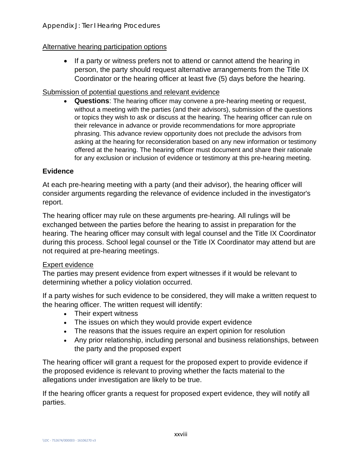### Alternative hearing participation options

• If a party or witness prefers not to attend or cannot attend the hearing in person, the party should request alternative arrangements from the Title IX Coordinator or the hearing officer at least five (5) days before the hearing.

### Submission of potential questions and relevant evidence

• **Questions**: The hearing officer may convene a pre-hearing meeting or request, without a meeting with the parties (and their advisors), submission of the questions or topics they wish to ask or discuss at the hearing. The hearing officer can rule on their relevance in advance or provide recommendations for more appropriate phrasing. This advance review opportunity does not preclude the advisors from asking at the hearing for reconsideration based on any new information or testimony offered at the hearing. The hearing officer must document and share their rationale for any exclusion or inclusion of evidence or testimony at this pre-hearing meeting.

### **Evidence**

At each pre-hearing meeting with a party (and their advisor), the hearing officer will consider arguments regarding the relevance of evidence included in the investigator's report.

The hearing officer may rule on these arguments pre-hearing. All rulings will be exchanged between the parties before the hearing to assist in preparation for the hearing. The hearing officer may consult with legal counsel and the Title IX Coordinator during this process. School legal counsel or the Title IX Coordinator may attend but are not required at pre-hearing meetings.

### Expert evidence

The parties may present evidence from expert witnesses if it would be relevant to determining whether a policy violation occurred.

If a party wishes for such evidence to be considered, they will make a written request to the hearing officer. The written request will identify:

- Their expert witness
- The issues on which they would provide expert evidence
- The reasons that the issues require an expert opinion for resolution
- Any prior relationship, including personal and business relationships, between the party and the proposed expert

The hearing officer will grant a request for the proposed expert to provide evidence if the proposed evidence is relevant to proving whether the facts material to the allegations under investigation are likely to be true.

If the hearing officer grants a request for proposed expert evidence, they will notify all parties.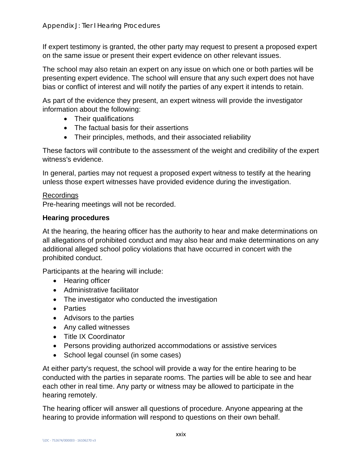If expert testimony is granted, the other party may request to present a proposed expert on the same issue or present their expert evidence on other relevant issues.

The school may also retain an expert on any issue on which one or both parties will be presenting expert evidence. The school will ensure that any such expert does not have bias or conflict of interest and will notify the parties of any expert it intends to retain.

As part of the evidence they present, an expert witness will provide the investigator information about the following:

- Their qualifications
- The factual basis for their assertions
- Their principles, methods, and their associated reliability

These factors will contribute to the assessment of the weight and credibility of the expert witness's evidence.

In general, parties may not request a proposed expert witness to testify at the hearing unless those expert witnesses have provided evidence during the investigation.

### Recordings

Pre-hearing meetings will not be recorded.

### **Hearing procedures**

At the hearing, the hearing officer has the authority to hear and make determinations on all allegations of prohibited conduct and may also hear and make determinations on any additional alleged school policy violations that have occurred in concert with the prohibited conduct.

Participants at the hearing will include:

- Hearing officer
- Administrative facilitator
- The investigator who conducted the investigation
- Parties
- Advisors to the parties
- Any called witnesses
- Title IX Coordinator
- Persons providing authorized accommodations or assistive services
- School legal counsel (in some cases)

At either party's request, the school will provide a way for the entire hearing to be conducted with the parties in separate rooms. The parties will be able to see and hear each other in real time. Any party or witness may be allowed to participate in the hearing remotely.

The hearing officer will answer all questions of procedure. Anyone appearing at the hearing to provide information will respond to questions on their own behalf.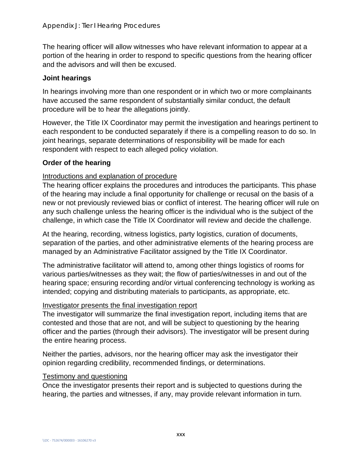The hearing officer will allow witnesses who have relevant information to appear at a portion of the hearing in order to respond to specific questions from the hearing officer and the advisors and will then be excused.

### **Joint hearings**

In hearings involving more than one respondent or in which two or more complainants have accused the same respondent of substantially similar conduct, the default procedure will be to hear the allegations jointly.

However, the Title IX Coordinator may permit the investigation and hearings pertinent to each respondent to be conducted separately if there is a compelling reason to do so. In joint hearings, separate determinations of responsibility will be made for each respondent with respect to each alleged policy violation.

### **Order of the hearing**

### Introductions and explanation of procedure

The hearing officer explains the procedures and introduces the participants. This phase of the hearing may include a final opportunity for challenge or recusal on the basis of a new or not previously reviewed bias or conflict of interest. The hearing officer will rule on any such challenge unless the hearing officer is the individual who is the subject of the challenge, in which case the Title IX Coordinator will review and decide the challenge.

At the hearing, recording, witness logistics, party logistics, curation of documents, separation of the parties, and other administrative elements of the hearing process are managed by an Administrative Facilitator assigned by the Title IX Coordinator.

The administrative facilitator will attend to, among other things logistics of rooms for various parties/witnesses as they wait; the flow of parties/witnesses in and out of the hearing space; ensuring recording and/or virtual conferencing technology is working as intended; copying and distributing materials to participants, as appropriate, etc.

### Investigator presents the final investigation report

The investigator will summarize the final investigation report, including items that are contested and those that are not, and will be subject to questioning by the hearing officer and the parties (through their advisors). The investigator will be present during the entire hearing process.

Neither the parties, advisors, nor the hearing officer may ask the investigator their opinion regarding credibility, recommended findings, or determinations.

### Testimony and questioning

Once the investigator presents their report and is subjected to questions during the hearing, the parties and witnesses, if any, may provide relevant information in turn.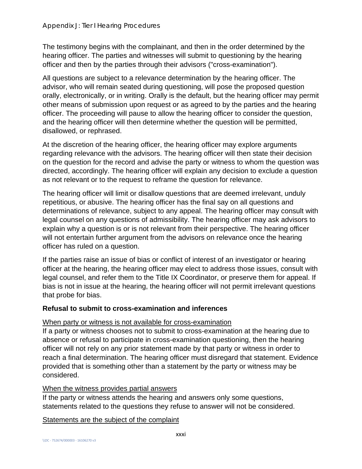The testimony begins with the complainant, and then in the order determined by the hearing officer. The parties and witnesses will submit to questioning by the hearing officer and then by the parties through their advisors ("cross-examination").

All questions are subject to a relevance determination by the hearing officer. The advisor, who will remain seated during questioning, will pose the proposed question orally, electronically, or in writing. Orally is the default, but the hearing officer may permit other means of submission upon request or as agreed to by the parties and the hearing officer. The proceeding will pause to allow the hearing officer to consider the question, and the hearing officer will then determine whether the question will be permitted, disallowed, or rephrased.

At the discretion of the hearing officer, the hearing officer may explore arguments regarding relevance with the advisors. The hearing officer will then state their decision on the question for the record and advise the party or witness to whom the question was directed, accordingly. The hearing officer will explain any decision to exclude a question as not relevant or to the request to reframe the question for relevance.

The hearing officer will limit or disallow questions that are deemed irrelevant, unduly repetitious, or abusive. The hearing officer has the final say on all questions and determinations of relevance, subject to any appeal. The hearing officer may consult with legal counsel on any questions of admissibility. The hearing officer may ask advisors to explain why a question is or is not relevant from their perspective. The hearing officer will not entertain further argument from the advisors on relevance once the hearing officer has ruled on a question.

If the parties raise an issue of bias or conflict of interest of an investigator or hearing officer at the hearing, the hearing officer may elect to address those issues, consult with legal counsel, and refer them to the Title IX Coordinator, or preserve them for appeal. If bias is not in issue at the hearing, the hearing officer will not permit irrelevant questions that probe for bias.

### **Refusal to submit to cross-examination and inferences**

### When party or witness is not available for cross-examination

If a party or witness chooses not to submit to cross-examination at the hearing due to absence or refusal to participate in cross-examination questioning, then the hearing officer will not rely on any prior statement made by that party or witness in order to reach a final determination. The hearing officer must disregard that statement. Evidence provided that is something other than a statement by the party or witness may be considered.

### When the witness provides partial answers

If the party or witness attends the hearing and answers only some questions, statements related to the questions they refuse to answer will not be considered.

### Statements are the subject of the complaint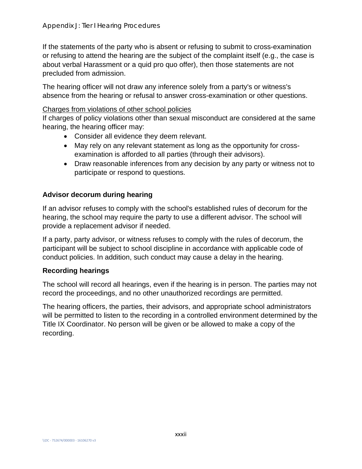If the statements of the party who is absent or refusing to submit to cross-examination or refusing to attend the hearing are the subject of the complaint itself (e.g., the case is about verbal Harassment or a quid pro quo offer), then those statements are not precluded from admission.

The hearing officer will not draw any inference solely from a party's or witness's absence from the hearing or refusal to answer cross-examination or other questions.

#### Charges from violations of other school policies

If charges of policy violations other than sexual misconduct are considered at the same hearing, the hearing officer may:

- Consider all evidence they deem relevant.
- May rely on any relevant statement as long as the opportunity for crossexamination is afforded to all parties (through their advisors).
- Draw reasonable inferences from any decision by any party or witness not to participate or respond to questions.

### **Advisor decorum during hearing**

If an advisor refuses to comply with the school's established rules of decorum for the hearing, the school may require the party to use a different advisor. The school will provide a replacement advisor if needed.

If a party, party advisor, or witness refuses to comply with the rules of decorum, the participant will be subject to school discipline in accordance with applicable code of conduct policies. In addition, such conduct may cause a delay in the hearing.

### **Recording hearings**

The school will record all hearings, even if the hearing is in person. The parties may not record the proceedings, and no other unauthorized recordings are permitted.

The hearing officers, the parties, their advisors, and appropriate school administrators will be permitted to listen to the recording in a controlled environment determined by the Title IX Coordinator. No person will be given or be allowed to make a copy of the recording.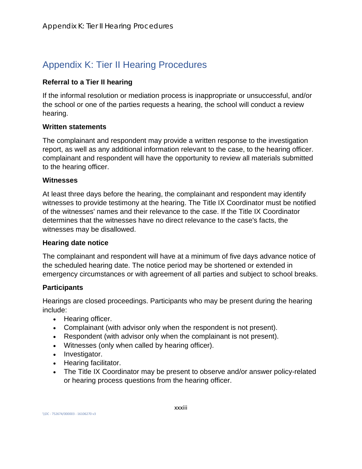# Appendix K: Tier II Hearing Procedures

# **Referral to a Tier II hearing**

If the informal resolution or mediation process is inappropriate or unsuccessful, and/or the school or one of the parties requests a hearing, the school will conduct a review hearing.

# **Written statements**

The complainant and respondent may provide a written response to the investigation report, as well as any additional information relevant to the case, to the hearing officer. complainant and respondent will have the opportunity to review all materials submitted to the hearing officer.

### **Witnesses**

At least three days before the hearing, the complainant and respondent may identify witnesses to provide testimony at the hearing. The Title IX Coordinator must be notified of the witnesses' names and their relevance to the case. If the Title IX Coordinator determines that the witnesses have no direct relevance to the case's facts, the witnesses may be disallowed.

# **Hearing date notice**

The complainant and respondent will have at a minimum of five days advance notice of the scheduled hearing date. The notice period may be shortened or extended in emergency circumstances or with agreement of all parties and subject to school breaks.

# **Participants**

Hearings are closed proceedings. Participants who may be present during the hearing include:

- Hearing officer.
- Complainant (with advisor only when the respondent is not present).
- Respondent (with advisor only when the complainant is not present).
- Witnesses (only when called by hearing officer).
- Investigator.
- Hearing facilitator.
- The Title IX Coordinator may be present to observe and/or answer policy-related or hearing process questions from the hearing officer.

\\DC - 752674/000003 - 16106270 v3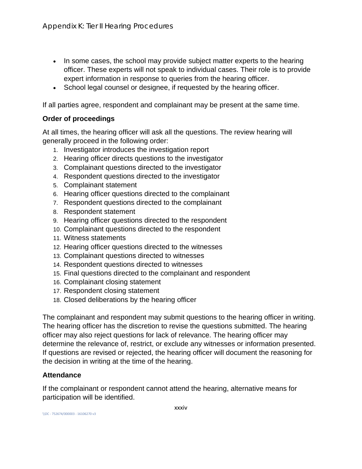- In some cases, the school may provide subject matter experts to the hearing officer. These experts will not speak to individual cases. Their role is to provide expert information in response to queries from the hearing officer.
- School legal counsel or designee, if requested by the hearing officer.

If all parties agree, respondent and complainant may be present at the same time.

### **Order of proceedings**

At all times, the hearing officer will ask all the questions. The review hearing will generally proceed in the following order:

- 1. Investigator introduces the investigation report
- 2. Hearing officer directs questions to the investigator
- 3. Complainant questions directed to the investigator
- 4. Respondent questions directed to the investigator
- 5. Complainant statement
- 6. Hearing officer questions directed to the complainant
- 7. Respondent questions directed to the complainant
- 8. Respondent statement
- 9. Hearing officer questions directed to the respondent
- 10. Complainant questions directed to the respondent
- 11. Witness statements
- 12. Hearing officer questions directed to the witnesses
- 13. Complainant questions directed to witnesses
- 14. Respondent questions directed to witnesses
- 15. Final questions directed to the complainant and respondent
- 16. Complainant closing statement
- 17. Respondent closing statement
- 18. Closed deliberations by the hearing officer

The complainant and respondent may submit questions to the hearing officer in writing. The hearing officer has the discretion to revise the questions submitted. The hearing officer may also reject questions for lack of relevance. The hearing officer may determine the relevance of, restrict, or exclude any witnesses or information presented. If questions are revised or rejected, the hearing officer will document the reasoning for the decision in writing at the time of the hearing.

### **Attendance**

If the complainant or respondent cannot attend the hearing, alternative means for participation will be identified.